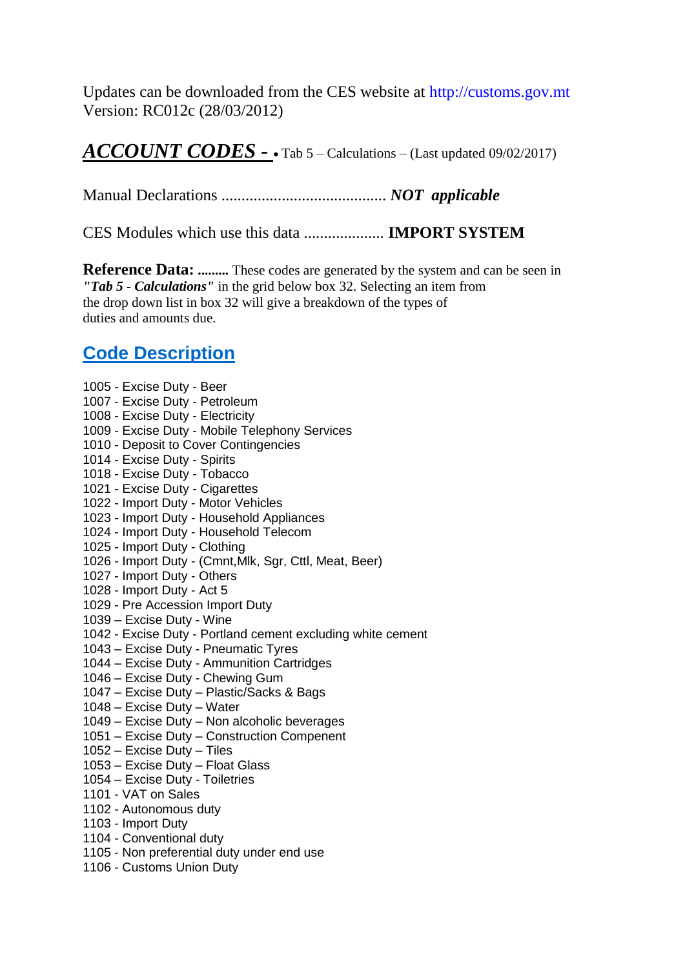Updates can be downloaded from the CES website at http://customs.gov.mt Version: RC012c (28/03/2012)

## *ACCOUNT CODES* - Tab 5 – Calculations – (Last updated 09/02/2017)

Manual Declarations ......................................... *NOT applicable*

CES Modules which use this data .................... **IMPORT SYSTEM**

**Reference Data: .........** These codes are generated by the system and can be seen in *"Tab 5 - Calculations"* in the grid below box 32. Selecting an item from the drop down list in box 32 will give a breakdown of the types of duties and amounts due.

## **Code Description**

- 1005 Excise Duty Beer
- 1007 Excise Duty Petroleum
- 1008 Excise Duty Electricity
- 1009 Excise Duty Mobile Telephony Services
- 1010 Deposit to Cover Contingencies
- 1014 Excise Duty Spirits
- 1018 Excise Duty Tobacco
- 1021 Excise Duty Cigarettes
- 1022 Import Duty Motor Vehicles
- 1023 Import Duty Household Appliances
- 1024 Import Duty Household Telecom
- 1025 Import Duty Clothing
- 1026 Import Duty (Cmnt,Mlk, Sgr, Cttl, Meat, Beer)
- 1027 Import Duty Others
- 1028 Import Duty Act 5
- 1029 Pre Accession Import Duty
- 1039 Excise Duty Wine
- 1042 Excise Duty Portland cement excluding white cement
- 1043 Excise Duty Pneumatic Tyres
- 1044 Excise Duty Ammunition Cartridges
- 1046 Excise Duty Chewing Gum
- 1047 Excise Duty Plastic/Sacks & Bags
- 1048 Excise Duty Water
- 1049 Excise Duty Non alcoholic beverages
- 1051 Excise Duty Construction Compenent
- 1052 Excise Duty Tiles
- 1053 Excise Duty Float Glass
- 1054 Excise Duty Toiletries
- 1101 VAT on Sales
- 1102 Autonomous duty
- 1103 Import Duty
- 1104 Conventional duty
- 1105 Non preferential duty under end use
- 1106 Customs Union Duty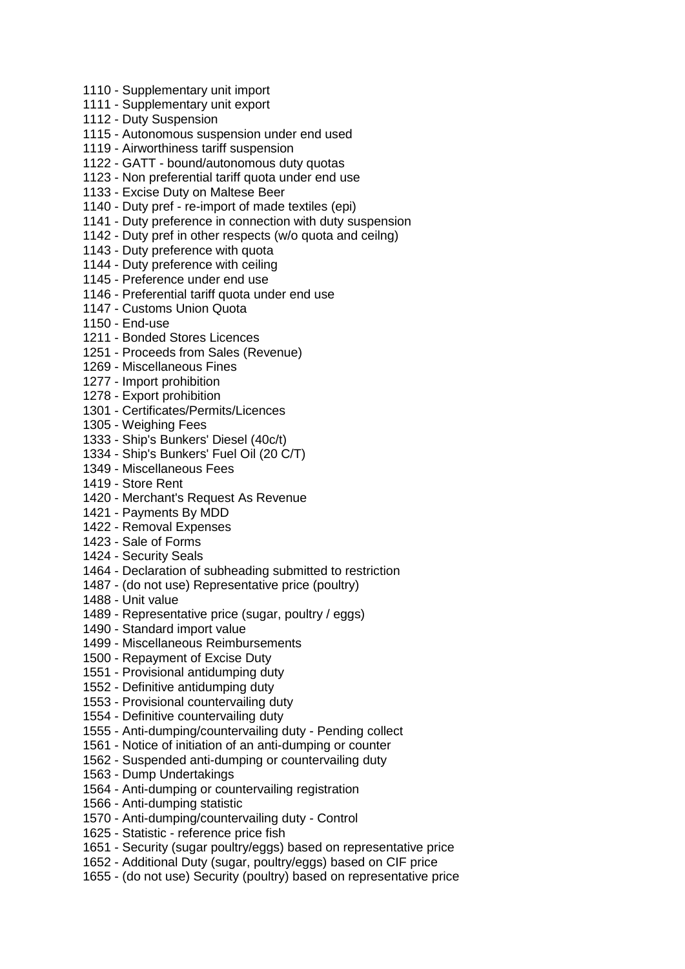- 1110 Supplementary unit import
- 1111 Supplementary unit export
- 1112 Duty Suspension
- 1115 Autonomous suspension under end used
- 1119 Airworthiness tariff suspension
- 1122 GATT bound/autonomous duty quotas
- 1123 Non preferential tariff quota under end use
- 1133 Excise Duty on Maltese Beer
- 1140 Duty pref re-import of made textiles (epi)
- 1141 Duty preference in connection with duty suspension
- 1142 Duty pref in other respects (w/o quota and ceilng)
- 1143 Duty preference with quota
- 1144 Duty preference with ceiling
- 1145 Preference under end use
- 1146 Preferential tariff quota under end use
- 1147 Customs Union Quota
- 1150 End-use
- 1211 Bonded Stores Licences
- 1251 Proceeds from Sales (Revenue)
- 1269 Miscellaneous Fines
- 1277 Import prohibition
- 1278 Export prohibition
- 1301 Certificates/Permits/Licences
- 1305 Weighing Fees
- 1333 Ship's Bunkers' Diesel (40c/t)
- 1334 Ship's Bunkers' Fuel Oil (20 C/T)
- 1349 Miscellaneous Fees
- 1419 Store Rent
- 1420 Merchant's Request As Revenue
- 1421 Payments By MDD
- 1422 Removal Expenses
- 1423 Sale of Forms
- 1424 Security Seals
- 1464 Declaration of subheading submitted to restriction
- 1487 (do not use) Representative price (poultry)
- 1488 Unit value
- 1489 Representative price (sugar, poultry / eggs)
- 1490 Standard import value
- 1499 Miscellaneous Reimbursements
- 1500 Repayment of Excise Duty
- 1551 Provisional antidumping duty
- 1552 Definitive antidumping duty
- 1553 Provisional countervailing duty
- 1554 Definitive countervailing duty
- 1555 Anti-dumping/countervailing duty Pending collect
- 1561 Notice of initiation of an anti-dumping or counter
- 1562 Suspended anti-dumping or countervailing duty
- 1563 Dump Undertakings
- 1564 Anti-dumping or countervailing registration
- 1566 Anti-dumping statistic
- 1570 Anti-dumping/countervailing duty Control
- 1625 Statistic reference price fish
- 1651 Security (sugar poultry/eggs) based on representative price
- 1652 Additional Duty (sugar, poultry/eggs) based on CIF price
- 1655 (do not use) Security (poultry) based on representative price